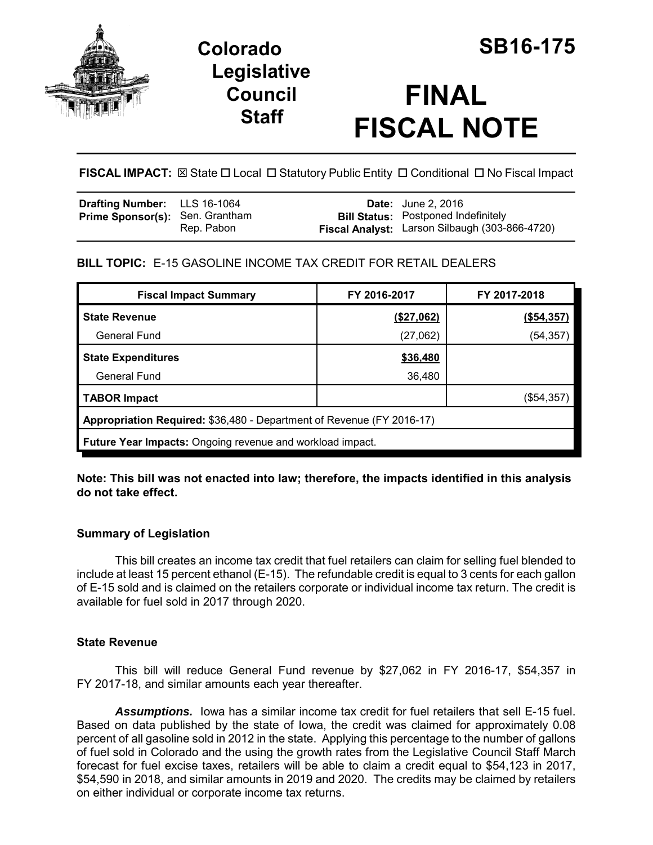

# **Colorado SB16-175 Legislative Council Staff**

# **FINAL FISCAL NOTE**

**FISCAL IMPACT:**  $\boxtimes$  **State □ Local □ Statutory Public Entity □ Conditional □ No Fiscal Impact** 

| <b>Drafting Number:</b> LLS 16-1064<br><b>Prime Sponsor(s): Sen. Grantham</b> | Rep. Pabon |  | <b>Date:</b> June 2, 2016<br><b>Bill Status:</b> Postponed Indefinitely<br>Fiscal Analyst: Larson Silbaugh (303-866-4720) |
|-------------------------------------------------------------------------------|------------|--|---------------------------------------------------------------------------------------------------------------------------|
|-------------------------------------------------------------------------------|------------|--|---------------------------------------------------------------------------------------------------------------------------|

# **BILL TOPIC:** E-15 GASOLINE INCOME TAX CREDIT FOR RETAIL DEALERS

| <b>Fiscal Impact Summary</b>                                          | FY 2016-2017 | FY 2017-2018 |  |  |  |
|-----------------------------------------------------------------------|--------------|--------------|--|--|--|
| <b>State Revenue</b>                                                  | (\$27,062)   | (\$54,357)   |  |  |  |
| General Fund                                                          | (27,062)     | (54, 357)    |  |  |  |
| <b>State Expenditures</b>                                             | \$36,480     |              |  |  |  |
| <b>General Fund</b>                                                   | 36,480       |              |  |  |  |
| <b>TABOR Impact</b>                                                   |              | $(\$54,357)$ |  |  |  |
| Appropriation Required: \$36,480 - Department of Revenue (FY 2016-17) |              |              |  |  |  |
| <b>Future Year Impacts:</b> Ongoing revenue and workload impact.      |              |              |  |  |  |

### **Note: This bill was not enacted into law; therefore, the impacts identified in this analysis do not take effect.**

# **Summary of Legislation**

This bill creates an income tax credit that fuel retailers can claim for selling fuel blended to include at least 15 percent ethanol (E-15). The refundable credit is equal to 3 cents for each gallon of E-15 sold and is claimed on the retailers corporate or individual income tax return. The credit is available for fuel sold in 2017 through 2020.

# **State Revenue**

This bill will reduce General Fund revenue by \$27,062 in FY 2016-17, \$54,357 in FY 2017-18, and similar amounts each year thereafter.

*Assumptions.* Iowa has a similar income tax credit for fuel retailers that sell E-15 fuel. Based on data published by the state of Iowa, the credit was claimed for approximately 0.08 percent of all gasoline sold in 2012 in the state. Applying this percentage to the number of gallons of fuel sold in Colorado and the using the growth rates from the Legislative Council Staff March forecast for fuel excise taxes, retailers will be able to claim a credit equal to \$54,123 in 2017, \$54,590 in 2018, and similar amounts in 2019 and 2020. The credits may be claimed by retailers on either individual or corporate income tax returns.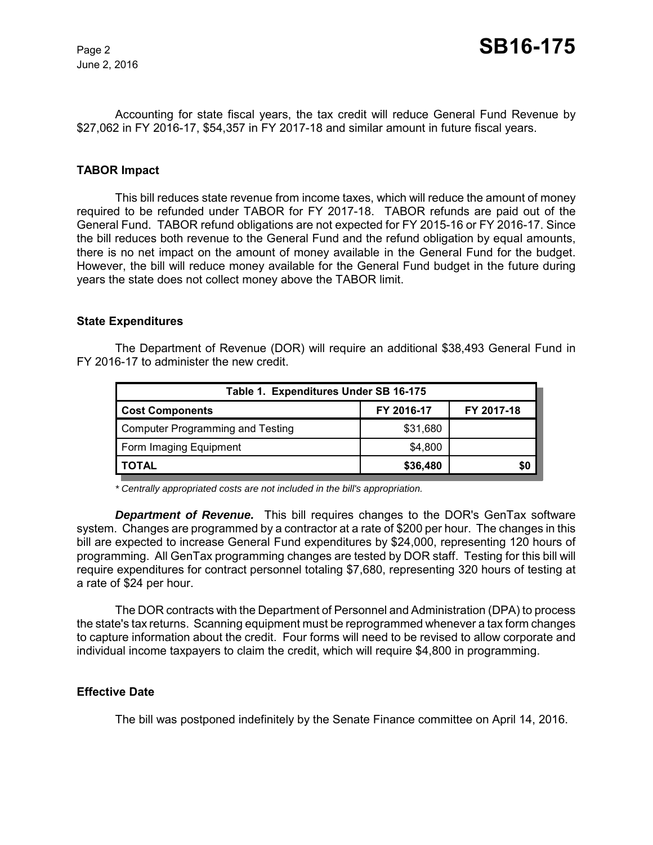June 2, 2016

Accounting for state fiscal years, the tax credit will reduce General Fund Revenue by \$27,062 in FY 2016-17, \$54,357 in FY 2017-18 and similar amount in future fiscal years.

#### **TABOR Impact**

This bill reduces state revenue from income taxes, which will reduce the amount of money required to be refunded under TABOR for FY 2017-18. TABOR refunds are paid out of the General Fund. TABOR refund obligations are not expected for FY 2015-16 or FY 2016-17. Since the bill reduces both revenue to the General Fund and the refund obligation by equal amounts, there is no net impact on the amount of money available in the General Fund for the budget. However, the bill will reduce money available for the General Fund budget in the future during years the state does not collect money above the TABOR limit.

#### **State Expenditures**

The Department of Revenue (DOR) will require an additional \$38,493 General Fund in FY 2016-17 to administer the new credit.

| Table 1. Expenditures Under SB 16-175 |            |            |  |  |  |
|---------------------------------------|------------|------------|--|--|--|
| <b>Cost Components</b>                | FY 2016-17 | FY 2017-18 |  |  |  |
| Computer Programming and Testing      | \$31,680   |            |  |  |  |
| Form Imaging Equipment                | \$4,800    |            |  |  |  |
| <b>TOTAL</b>                          | \$36,480   | \$0        |  |  |  |

*\* Centrally appropriated costs are not included in the bill's appropriation.*

*Department of Revenue.* This bill requires changes to the DOR's GenTax software system. Changes are programmed by a contractor at a rate of \$200 per hour. The changes in this bill are expected to increase General Fund expenditures by \$24,000, representing 120 hours of programming. All GenTax programming changes are tested by DOR staff. Testing for this bill will require expenditures for contract personnel totaling \$7,680, representing 320 hours of testing at a rate of \$24 per hour.

The DOR contracts with the Department of Personnel and Administration (DPA) to process the state's tax returns. Scanning equipment must be reprogrammed whenever a tax form changes to capture information about the credit. Four forms will need to be revised to allow corporate and individual income taxpayers to claim the credit, which will require \$4,800 in programming.

#### **Effective Date**

The bill was postponed indefinitely by the Senate Finance committee on April 14, 2016.